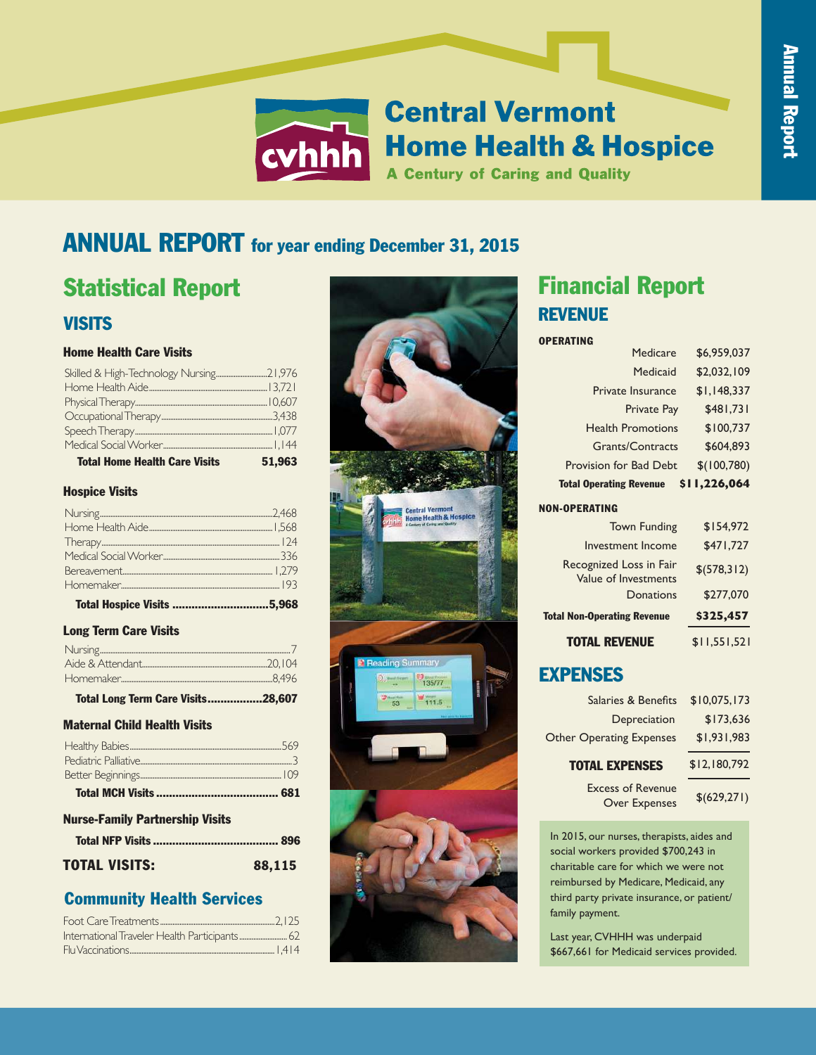## **Central Vermont Home Health & Hospice A Century of Caring and Quality**

## **ANNUAL REPORT** for year ending December 31, 2015

# VISITS VISITS VISITS Statistical Report Statistical Report Statistical Report

## Home Health Care Visits Home Health Care Visits Home Health Care Visits

| <b>Total Home Health Care Visits</b> | 51.963 |
|--------------------------------------|--------|
|                                      |        |
|                                      |        |
|                                      |        |
|                                      |        |
|                                      |        |
|                                      |        |
|                                      |        |

## Hospice Visits Hospice Visits Hospice Visits

| <b>Total Hospice Visits 5,968</b> |  |
|-----------------------------------|--|

## Long Term Care Visits Long Term Care Visits Long Term Care Visits

## Maternal-Child Health Visits Maternal Child Health Visits Maternal-Child Health Visits

## Nurse-Family Partnership Visits Nurse-Family Partnership Visits Nurse-Family Partnership Visits

| <b>TOTAL VISITS:</b> | 88,115 |
|----------------------|--------|

## Community Health Services Community Health Services Community Health Services



CARE, NOT CURE

## Financial Report Financial Report Financial Report REVENUE REVENUE REVENUE

## OPERATING OPERATING OPERATING

| Medicare                       | \$6,959,037  |
|--------------------------------|--------------|
| Medicaid                       | \$2,032,109  |
| <b>Private Insurance</b>       | \$1,148,337  |
| <b>Private Pay</b>             | \$481,731    |
| <b>Health Promotions</b>       | \$100.737    |
| <b>Grants/Contracts</b>        | \$604,893    |
| Provision for Bad Debt         | \$(100, 780) |
| <b>Total Operating Revenue</b> | \$11,226,064 |

#### Town Funding NON-OPERATING Town Funding

| <b>Town Fu</b><br>Investment In<br>Recognized Loss <b>CVhhhh</b><br>Value of Investme<br>Donations | <b>Central Ver</b><br><b>Home Heal</b><br><b>Century of Caring</b><br><b>A Century of Car</b><br>\$277,070 |
|----------------------------------------------------------------------------------------------------|------------------------------------------------------------------------------------------------------------|
| <b>Total Non-Operating Revenue</b>                                                                 | \$325,457                                                                                                  |
| <b>TOTAL REVENUE</b>                                                                               | \$11,551,521                                                                                               |

## Salaries & Benefits

In 2015, our nurses, therapists, aides and  $\blacksquare$  $\frac{1}{2}$  social workers provided  $\frac{1}{2}$ 700,243 in charitable care for which we were not **and family members** reimbursed by Medicare, Medicaid, any months of additional support for the support for the support for the support for the support for the support for the support for the support for the support for the support for the sup  $t_{\rm max}$  party private insurance, or patient/ family payment. third party private insurance, or patient/ third party private insurance, or patient/ Last year, CVHHH was underpaid \$474,116 family payment. rd party private insurance, or patient/  $\mathcal{L}$  year,  $\mathcal{L}$  year,  $\mathcal{L}$  year,  $\mathcal{L}$  year,  $\mathcal{L}$  year,  $\mathcal{L}$ Bereavement counseling for patients and family members, including up to  $12$ 

Last year, CVHHH was underpaid \$667,661 for Medicaid services provided. **Spiritual Support**  $W_t(t)$  respectively.

With respect for the patient's spiritual

arrangements for patients and families